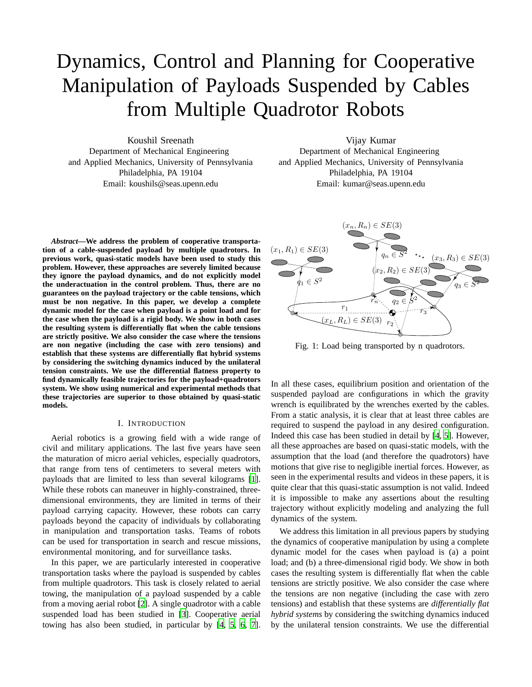# Dynamics, Control and Planning for Cooperative Manipulation of Payloads Suspended by Cables from Multiple Quadrotor Robots

Koushil Sreenath Department of Mechanical Engineering and Applied Mechanics, University of Pennsylvania Philadelphia, PA 19104 Email: koushils@seas.upenn.edu

*Abstract***—We address the problem of cooperative transportation of a cable-suspended payload by multiple quadrotors. In previous work, quasi-static models have been used to study this problem. However, these approaches are severely limited because they ignore the payload dynamics, and do not explicitly model the underactuation in the control problem. Thus, there are no guarantees on the payload trajectory or the cable tensions, which must be non negative. In this paper, we develop a complete dynamic model for the case when payload is a point load and for the case when the payload is a rigid body. We show in both cases the resulting system is differentially flat when the cable tensions are strictly positive. We also consider the case where the tensions are non negative (including the case with zero tensions) and establish that these systems are differentially flat hybrid systems by considering the switching dynamics induced by the unilateral tension constraints. We use the differential flatness property to find dynamically feasible trajectories for the payload+quadrotors system. We show using numerical and experimental methods that these trajectories are superior to those obtained by quasi-static models.**

## I. INTRODUCTION

Aerial robotics is a growing field with a wide range of civil and military applications. The last five years have seen the maturation of micro aerial vehicles, especially quadrotors, that range from tens of centimeters to several meters with payloads that are limited to less than several kilograms [\[1](#page-7-0)]. While these robots can maneuver in highly-constrained, threedimensional environments, they are limited in terms of their payload carrying capacity. However, these robots can carry payloads beyond the capacity of individuals by collaborating in manipulation and transportation tasks. Teams of robots can be used for transportation in search and rescue missions, environmental monitoring, and for surveillance tasks.

In this paper, we are particularly interested in cooperative transportation tasks where the payload is suspended by cables from multiple quadrotors. This task is closely related to aerial towing, the manipulation of a payload suspended by a cable from a moving aerial robot [\[2\]](#page-7-1). A single quadrotor with a cable suspended load has been studied in [\[3\]](#page-7-2). Cooperative aerial towing has also been studied, in particular by [\[4,](#page-7-3) [5,](#page-7-4) [6](#page-7-5), [7](#page-7-6)].

Vijay Kumar Department of Mechanical Engineering and Applied Mechanics, University of Pennsylvania Philadelphia, PA 19104 Email: kumar@seas.upenn.edu

<span id="page-0-0"></span>

Fig. 1: Load being transported by n quadrotors.

In all these cases, equilibrium position and orientation of the suspended payload are configurations in which the gravity wrench is equilibrated by the wrenches exerted by the cables. From a static analysis, it is clear that at least three cables are required to suspend the payload in any desired configuration. Indeed this case has been studied in detail by [\[4,](#page-7-3) [5](#page-7-4)]. However, all these approaches are based on quasi-static models, with the assumption that the load (and therefore the quadrotors) have motions that give rise to negligible inertial forces. However, as seen in the experimental results and videos in these papers, it is quite clear that this quasi-static assumption is not valid. Indeed it is impossible to make any assertions about the resulting trajectory without explicitly modeling and analyzing the full dynamics of the system.

We address this limitation in all previous papers by studying the dynamics of cooperative manipulation by using a complete dynamic model for the cases when payload is (a) a point load; and (b) a three-dimensional rigid body. We show in both cases the resulting system is differentially flat when the cable tensions are strictly positive. We also consider the case where the tensions are non negative (including the case with zero tensions) and establish that these systems are *differentially flat hybrid systems* by considering the switching dynamics induced by the unilateral tension constraints. We use the differential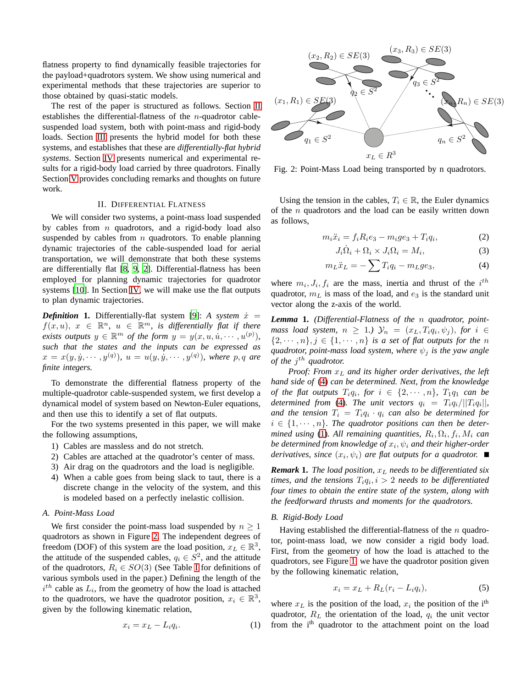flatness property to find dynamically feasible trajectories for the payload+quadrotors system. We show using numerical and experimental methods that these trajectories are superior to those obtained by quasi-static models.

The rest of the paper is structured as follows. Section [II](#page-1-0) establishes the differential-flatness of the *n*-quadrotor cablesuspended load system, both with point-mass and rigid-body loads. Section [III](#page-3-0) presents the hybrid model for both these systems, and establishes that these are *differentially-flat hybrid systems*. Section [IV](#page-4-0) presents numerical and experimental results for a rigid-body load carried by three quadrotors. Finally Section [V](#page-7-7) provides concluding remarks and thoughts on future work.

## II. DIFFERENTIAL FLATNESS

<span id="page-1-0"></span>We will consider two systems, a point-mass load suspended by cables from  $n$  quadrotors, and a rigid-body load also suspended by cables from  $n$  quadrotors. To enable planning dynamic trajectories of the cable-suspended load for aerial transportation, we will demonstrate that both these systems are differentially flat [\[8,](#page-7-8) [9](#page-7-9), [2](#page-7-1)]. Differential-flatness has been employed for planning dynamic trajectories for quadrotor systems [\[10\]](#page-7-10). In Section [IV,](#page-4-0) we will make use the flat outputs to plan dynamic trajectories.

*Definition* **1.** Differentially-flat system [\[9](#page-7-9)]: *A system*  $\dot{x}$  =  $f(x, u), x \in \mathbb{R}^n$ ,  $u \in \mathbb{R}^m$ , is differentially flat if there *exists outputs*  $y \in \mathbb{R}^m$  *of the form*  $y = y(x, u, u, \dots, u^{(p)})$ , *such that the states and the inputs can be expressed as*  $x = x(y, \dot{y}, \cdots, y^{(q)}), u = u(y, \dot{y}, \cdots, y^{(q)}),$  where p, q are *finite integers.*

To demonstrate the differential flatness property of the multiple-quadrotor cable-suspended system, we first develop a dynamical model of system based on Newton-Euler equations, and then use this to identify a set of flat outputs.

For the two systems presented in this paper, we will make the following assumptions,

- 1) Cables are massless and do not stretch.
- 2) Cables are attached at the quadrotor's center of mass.
- 3) Air drag on the quadrotors and the load is negligible.
- 4) When a cable goes from being slack to taut, there is a discrete change in the velocity of the system, and this is modeled based on a perfectly inelastic collision.

# *A. Point-Mass Load*

We first consider the point-mass load suspended by  $n \geq 1$ quadrotors as shown in Figure [2.](#page-1-1) The independent degrees of freedom (DOF) of this system are the load position,  $x_L \in \mathbb{R}^3$ , the attitude of the suspended cables,  $q_i \in S^2$ , and the attitude of the quadrotors,  $R_i \in SO(3)$  (See Table [I](#page-2-0) for definitions of various symbols used in the paper.) Defining the length of the  $i<sup>th</sup>$  cable as  $L_i$ , from the geometry of how the load is attached to the quadrotors, we have the quadrotor position,  $x_i \in \mathbb{R}^3$ , given by the following kinematic relation,

$$
x_i = x_L - L_i q_i. \tag{1}
$$

<span id="page-1-1"></span>

Fig. 2: Point-Mass Load being transported by n quadrotors.

Using the tension in the cables,  $T_i \in \mathbb{R}$ , the Euler dynamics of the  $n$  quadrotors and the load can be easily written down as follows,

$$
m_i \ddot{x}_i = f_i R_i e_3 - m_i g e_3 + T_i q_i, \qquad (2)
$$

<span id="page-1-2"></span>
$$
J_i \dot{\Omega}_i + \Omega_i \times J_i \Omega_i = M_i, \tag{3}
$$

$$
m_L \ddot{x}_L = -\sum T_i q_i - m_L g e_3,\tag{4}
$$

where  $m_i, J_i, f_i$  are the mass, inertia and thrust of the  $i^{th}$ quadrotor,  $m<sub>L</sub>$  is mass of the load, and  $e<sub>3</sub>$  is the standard unit vector along the z-axis of the world.

<span id="page-1-5"></span>*Lemma* **1.** *(Differential-Flatness of the* n *quadrotor, pointmass load system,*  $n \geq 1$ .)  $\mathcal{Y}_n = (x_L, T_i q_i, \psi_j)$ , for  $i \in$  $\{2, \dots, n\}, j \in \{1, \dots, n\}$  *is a set of flat outputs for the n quadrotor, point-mass load system, where*  $\psi_i$  *is the yaw angle of the j<sup>th</sup> quadrotor.* 

*Proof: From* x<sup>L</sup> *and its higher order derivatives, the left hand side of* [\(4\)](#page-1-2) *can be determined. Next, from the knowledge of the flat outputs*  $T_i q_i$ *, for*  $i \in \{2, \cdots, n\}$ *,*  $T_1 q_1$  *can be determined from* [\(4\)](#page-1-2). The unit vectors  $q_i = T_i q_i / ||T_i q_i||$ , and the tension  $T_i = T_i q_i \cdot q_i$  can also be determined for  $i \in \{1, \dots, n\}$ . The quadrotor positions can then be deter $mined$  using [\(1\)](#page-1-3). All remaining quantities,  $R_i, \Omega_i, f_i, M_i$  can be determined from knowledge of  $x_i, \psi_i$  and their higher-order *derivatives, since*  $(x_i, \psi_i)$  *are flat outputs for a quadrotor.* 

*Remark* **1.** *The load position,*  $x_L$  *needs to be differentiated six*  $t$ *imes, and the tensions*  $T_i q_i, i > 2$  *needs to be differentiated four times to obtain the entire state of the system, along with the feedforward thrusts and moments for the quadrotors.*

#### *B. Rigid-Body Load*

Having established the differential-flatness of the  $n$  quadrotor, point-mass load, we now consider a rigid body load. First, from the geometry of how the load is attached to the quadrotors, see Figure [1,](#page-0-0) we have the quadrotor position given by the following kinematic relation,

<span id="page-1-4"></span>
$$
x_i = x_L + R_L(r_i - L_i q_i), \tag{5}
$$

<span id="page-1-3"></span>where  $x_L$  is the position of the load,  $x_i$  the position of the i<sup>th</sup> quadrotor,  $R_L$  the orientation of the load,  $q_i$  the unit vector from the i<sup>th</sup> quadrotor to the attachment point on the load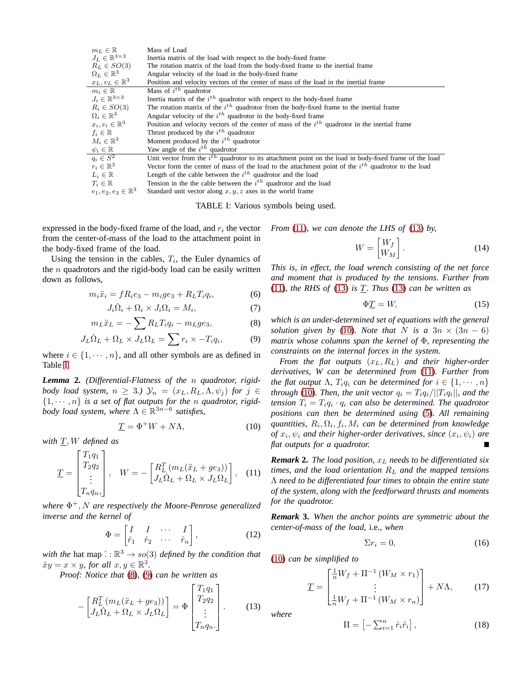<span id="page-2-0"></span>

| $m_L \in \mathbb{R}$              | Mass of Load                                                                                                |  |  |  |  |
|-----------------------------------|-------------------------------------------------------------------------------------------------------------|--|--|--|--|
| $J_L \in \mathbb{R}^{3 \times 3}$ | Inertia matrix of the load with respect to the body-fixed frame                                             |  |  |  |  |
| $R_L \in SO(3)$                   | The rotation matrix of the load from the body-fixed frame to the inertial frame                             |  |  |  |  |
| $\Omega_L \in \mathbb{R}^3$       | Angular velocity of the load in the body-fixed frame                                                        |  |  |  |  |
| $x_L, v_L \in \mathbb{R}^3$       | Position and velocity vectors of the center of mass of the load in the inertial frame                       |  |  |  |  |
| $m_i \in \mathbb{R}$              | Mass of $i^{th}$ quadrotor                                                                                  |  |  |  |  |
| $J_i \in \mathbb{R}^{3 \times 3}$ | Inertia matrix of the $ith$ quadrotor with respect to the body-fixed frame                                  |  |  |  |  |
| $R_i \in SO(3)$                   | The rotation matrix of the $i^{th}$ quadrotor from the body-fixed frame to the inertial frame               |  |  |  |  |
| $\Omega_i \in \mathbb{R}^3$       | Angular velocity of the $i^{th}$ quadrotor in the body-fixed frame                                          |  |  |  |  |
| $x_i, v_i \in \mathbb{R}^3$       | Position and velocity vectors of the center of mass of the $ith$ quadrotor in the inertial frame            |  |  |  |  |
| $f_i \in \mathbb{R}$              | Thrust produced by the $i^{th}$ quadrotor                                                                   |  |  |  |  |
| $M_i \in \mathbb{R}^3$            | Moment produced by the $i^{th}$ quadrotor                                                                   |  |  |  |  |
| $\psi_i \in \mathbb{R}$           | Yaw angle of the $i^{th}$ quadrotor                                                                         |  |  |  |  |
| $q_i \in S^2$                     | Unit vector from the $i^{th}$ quadrotor to its attachment point on the load in body-fixed frame of the load |  |  |  |  |
| $r_i \in \mathbb{R}^3$            | Vector form the center of mass of the load to the attachment point of the $ith$ quadrotor to the load       |  |  |  |  |
| $L_i \in \mathbb{R}$              | Length of the cable between the $i^{th}$ quadrotor and the load                                             |  |  |  |  |
| $T_i \in \mathbb{R}$              | Tension in the the cable between the $i^{th}$ quadrotor and the load                                        |  |  |  |  |
| $e_1, e_2, e_3 \in \mathbb{R}^3$  | Standard unit vector along $x, y, z$ axes in the world frame                                                |  |  |  |  |

TABLE I: Various symbols being used.

expressed in the body-fixed frame of the load, and  $r_i$  the vector from the center-of-mass of the load to the attachment point in the body-fixed frame of the load.

Using the tension in the cables,  $T_i$ , the Euler dynamics of the  $n$  quadrotors and the rigid-body load can be easily written down as follows,

$$
m_i \ddot{x}_i = f R_i e_3 - m_i g e_3 + R_L T_i q_i, \tag{6}
$$

$$
J_i \dot{\Omega}_i + \Omega_i \times J_i \Omega_i = M_i, \tag{7}
$$

$$
m_L \ddot{x}_L = -\sum R_L T_i q_i - m_L g e_3,\tag{8}
$$

$$
J_L \dot{\Omega}_L + \Omega_L \times J_L \Omega_L = \sum r_i \times -T_i q_i, \tag{9}
$$

where  $i \in \{1, \dots, n\}$ , and all other symbols are as defined in Table [I.](#page-2-0)

*Lemma* **2.** *(Differential-Flatness of the* n *quadrotor, rigidbody load system,*  $n \geq 3$ *.)*  $\mathcal{Y}_n = (x_L, R_L, \Lambda, \psi_j)$  *for*  $j \in$  $\{1, \dots, n\}$  *is a set of flat outputs for the n quadrotor, rigidbody load system, where* Λ ∈ R 3n−6 *satisfies,*

$$
\underline{T} = \Phi^+ W + N\Lambda,\tag{10}
$$

*with* T, W *defined as*

<span id="page-2-3"></span>
$$
\underline{T} = \begin{bmatrix} T_1 q_1 \\ T_2 q_2 \\ \vdots \\ T_n q_n, \end{bmatrix}, \quad W = -\begin{bmatrix} R_L^T (m_L(\ddot{x}_L + ge_3)) \\ J_L \dot{\Omega}_L + \Omega_L \times J_L \Omega_L \end{bmatrix}, \quad (11)
$$

*where* Φ <sup>+</sup>, N *are respectively the Moore-Penrose generalized inverse and the kernel of*

$$
\Phi = \begin{bmatrix} I & I & \cdots & I \\ \hat{r}_1 & \hat{r}_2 & \cdots & \hat{r}_n \end{bmatrix},
$$
(12)

*with the* hat map  $\hat{C} : \mathbb{R}^3 \to so(3)$  *defined by the condition that*  $\hat{x}y = x \times y$ , for all  $x, y \in \mathbb{R}^3$ .

*Proof: Notice that* [\(8\)](#page-2-1)*,* [\(9\)](#page-2-2) *can be written as*

$$
-\begin{bmatrix} R_L^T(m_L(\ddot{x}_L+ge_3)) \\ J_L\dot{\Omega}_L+\Omega_L \times J_L\Omega_L \end{bmatrix} = \Phi \begin{bmatrix} T_1q_1 \\ T_2q_2 \\ \vdots \\ T_nq_n. \end{bmatrix} . \tag{13}
$$

*From* [\(11\)](#page-2-3)*, we can denote the LHS of* [\(13\)](#page-2-4) *by,*

$$
W = \begin{bmatrix} W_f \\ W_M \end{bmatrix} . \tag{14}
$$

*This is, in effect, the load wrench consisting of the net force and moment that is produced by the tensions. Further from* [\(11\)](#page-2-3)*, the RHS of* [\(13\)](#page-2-4) *is* T*. Thus* [\(13\)](#page-2-4) *can be written as*

$$
\Phi \underline{T} = W,\tag{15}
$$

<span id="page-2-2"></span><span id="page-2-1"></span>*which is an under-determined set of equations with the general solution given by* [\(10\)](#page-2-5)*. Note that* N *is a*  $3n \times (3n - 6)$ *matrix whose columns span the kernel of* Φ*, representing the constraints on the internal forces in the system.*

*From the flat outputs* (xL, RL) *and their higher-order derivatives, W can be determined from* [\(11\)](#page-2-3)*. Further from the flat output*  $\Lambda$ *,*  $T_i q_i$  *can be determined for*  $i \in \{1, \dots, n\}$ *through* [\(10\)](#page-2-5). Then, the unit vector  $q_i = T_i q_i / ||T_i q_i||$ , and the  $tension T_i = T_i q_i \cdot q_i$  *can also be determined. The quadrotor positions can then be determined using* [\(5\)](#page-1-4)*. All remaining*  $quantities, R<sub>i</sub>, \Omega<sub>i</sub>, f<sub>i</sub>, M<sub>i</sub>$  can be determined from knowledge  $of x_i, \psi_i$  and their higher-order derivatives, since  $(x_i, \psi_i)$  are *flat outputs for a quadrotor.*

<span id="page-2-5"></span>*Remark* **2.** *The load position,*  $x_L$  *needs to be differentiated six times, and the load orientation* R<sup>L</sup> *and the mapped tensions* Λ *need to be differentiated four times to obtain the entire state of the system, along with the feedforward thrusts and moments for the quadrotor.*

*Remark* **3.** *When the anchor points are symmetric about the center-of-mass of the load,* i.e.*, when*

$$
\Sigma r_i = 0,\tag{16}
$$

<span id="page-2-4"></span>[\(10\)](#page-2-5) *can be simplified to*

$$
\underline{T} = \begin{bmatrix} \frac{1}{n}W_f + \Pi^{-1} \left( W_M \times r_1 \right) \\ \vdots \\ \frac{1}{n}W_f + \Pi^{-1} \left( W_M \times r_n \right) \end{bmatrix} + N\Lambda, \qquad (17)
$$

*where*

$$
\Pi = \left[ -\sum_{i=1}^{n} \hat{r}_i \hat{r}_i \right],\tag{18}
$$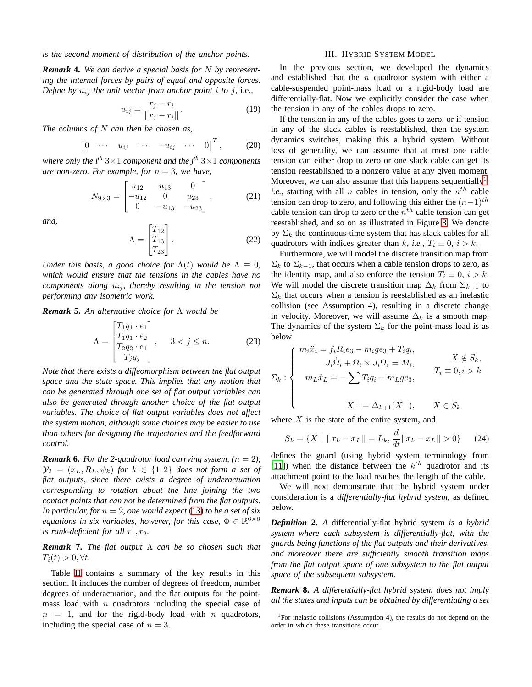## *is the second moment of distribution of the anchor points.*

*Remark* **4.** *We can derive a special basis for* N *by representing the internal forces by pairs of equal and opposite forces. Define by*  $u_{ij}$  *the unit vector from anchor point i to j, i.e.,* 

$$
u_{ij} = \frac{r_j - r_i}{||r_j - r_i||}.
$$
 (19)

*The columns of* N *can then be chosen as,*

$$
\begin{bmatrix} 0 & \cdots & u_{ij} & \cdots & -u_{ij} & \cdots & 0 \end{bmatrix}^T, \quad (20)
$$

*where only the i*<sup>th</sup>  $3 \times 1$  *component and the j*<sup>th</sup>  $3 \times 1$  *components are non-zero. For example, for*  $n = 3$ *, we have,* 

$$
N_{9\times3} = \begin{bmatrix} u_{12} & u_{13} & 0 \\ -u_{12} & 0 & u_{23} \\ 0 & -u_{13} & -u_{23} \end{bmatrix},
$$
 (21)

*and,*

$$
\Lambda = \begin{bmatrix} T_{12} \\ T_{13} \\ T_{23} \end{bmatrix} . \tag{22}
$$

*Under this basis, a good choice for*  $\Lambda(t)$  *would be*  $\Lambda \equiv 0$ *, which would ensure that the tensions in the cables have no components along*  $u_{ij}$ *, thereby resulting in the tension not performing any isometric work.*

*Remark* **5.** *An alternative choice for* Λ *would be*

$$
\Lambda = \begin{bmatrix} T_1 q_1 \cdot e_1 \\ T_1 q_1 \cdot e_2 \\ T_2 q_2 \cdot e_1 \\ T_j q_j \end{bmatrix}, \quad 3 < j \le n.
$$
 (23)

*Note that there exists a diffeomorphism between the flat output space and the state space. This implies that any motion that can be generated through one set of flat output variables can also be generated through another choice of the flat output variables. The choice of flat output variables does not affect the system motion, although some choices may be easier to use than others for designing the trajectories and the feedforward control.*

<span id="page-3-2"></span>*Remark* **6.** *For the 2-quadrotor load carrying system,*  $(n = 2)$ *,*  $\mathcal{Y}_2 = (x_L, R_L, \psi_k)$  *for*  $k \in \{1, 2\}$  *does not form a set of flat outputs, since there exists a degree of underactuation corresponding to rotation about the line joining the two contact points that can not be determined from the flat outputs. In particular, for*  $n = 2$ *, one would expect* [\(13\)](#page-2-4) *to be a set of six equations in six variables, however, for this case,*  $\Phi \in \mathbb{R}^{6 \times 6}$ *is rank-deficient for all*  $r_1, r_2$ *.* 

*Remark* **7.** *The flat output* Λ *can be so chosen such that*  $T_i(t) > 0, \forall t$ .

Table [II](#page-5-0) contains a summary of the key results in this section. It includes the number of degrees of freedom, number degrees of underactuation, and the flat outputs for the pointmass load with  $n$  quadrotors including the special case of  $n = 1$ , and for the rigid-body load with n quadrotors, including the special case of  $n = 3$ .

#### III. HYBRID SYSTEM MODEL

<span id="page-3-0"></span>In the previous section, we developed the dynamics and established that the  $n$  quadrotor system with either a cable-suspended point-mass load or a rigid-body load are differentially-flat. Now we explicitly consider the case when the tension in any of the cables drops to zero.

If the tension in any of the cables goes to zero, or if tension in any of the slack cables is reestablished, then the system dynamics switches, making this a hybrid system. Without loss of generality, we can assume that at most one cable tension can either drop to zero or one slack cable can get its tension reestablished to a nonzero value at any given moment. Moreover, we can also assume that this happens sequentially<sup>[1](#page-3-1)</sup>, *i.e.*, starting with all *n* cables in tension, only the  $n^{th}$  cable tension can drop to zero, and following this either the  $(n-1)$ <sup>th</sup> cable tension can drop to zero or the  $n<sup>th</sup>$  cable tension can get reestablished, and so on as illustrated in Figure [3.](#page-4-1) We denote by  $\Sigma_k$  the continuous-time system that has slack cables for all quadrotors with indices greater than k, *i.e.*,  $T_i \equiv 0$ ,  $i > k$ .

Furthermore, we will model the discrete transition map from  $\Sigma_k$  to  $\Sigma_{k-1}$ , that occurs when a cable tension drops to zero, as the identity map, and also enforce the tension  $T_i \equiv 0, i > k$ . We will model the discrete transition map  $\Delta_k$  from  $\Sigma_{k-1}$  to  $\Sigma_k$  that occurs when a tension is reestablished as an inelastic collision (see Assumption 4), resulting in a discrete change in velocity. Moreover, we will assume  $\Delta_k$  is a smooth map. The dynamics of the system  $\Sigma_k$  for the point-mass load is as below

$$
\Sigma_k : \begin{cases} m_i \ddot{x}_i = f_i R_i e_3 - m_i g e_3 + T_i q_i, \\ J_i \dot{\Omega}_i + \Omega_i \times J_i \Omega_i = M_i, \\ m_L \ddot{x}_L = -\sum T_i q_i - m_L g e_3, \\ X^+ = \Delta_{k+1}(X^-), \qquad X \in S_k \end{cases} \quad X \neq S_k,
$$

where  $X$  is the state of the entire system, and

$$
S_k = \{ X \mid ||x_k - x_L|| = L_k, \frac{d}{dt} ||x_k - x_L|| > 0 \}
$$
 (24)

defines the guard (using hybrid system terminology from [\[11](#page-7-11)]) when the distance between the  $k^{th}$  quadrotor and its attachment point to the load reaches the length of the cable.

We will next demonstrate that the hybrid system under consideration is a *differentially-flat hybrid system*, as defined below.

*Definition* **2.** *A* differentially-flat hybrid system *is a hybrid system where each subsystem is differentially-flat, with the guards being functions of the flat outputs and their derivatives, and moreover there are sufficiently smooth transition maps from the flat output space of one subsystem to the flat output space of the subsequent subsystem.*

*Remark* **8.** *A differentially-flat hybrid system does not imply all the states and inputs can be obtained by differentiating a set*

<span id="page-3-1"></span><sup>&</sup>lt;sup>1</sup>For inelastic collisions (Assumption 4), the results do not depend on the order in which these transitions occur.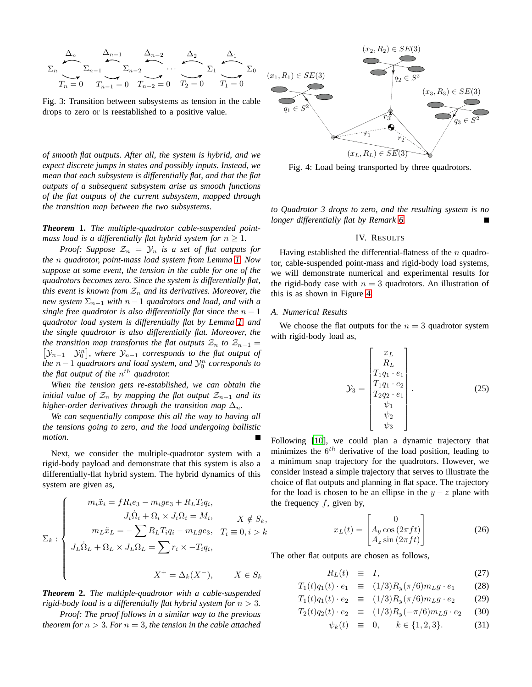<span id="page-4-1"></span>
$$
\Sigma_n \underbrace{\Delta_n}_{T_n=0} \underbrace{\Delta_{n-1}}_{T_{n-1}=0} \underbrace{\Delta_{n-2}}_{T_{n-2}=0} \cdots \underbrace{\Delta_2}_{T_2=0} \underbrace{\Delta_1}_{T_1=0} \Sigma_0
$$

Fig. 3: Transition between subsystems as tension in the cable drops to zero or is reestablished to a positive value.

*of smooth flat outputs. After all, the system is hybrid, and we expect discrete jumps in states and possibly inputs. Instead, we mean that each subsystem is differentially flat, and that the flat outputs of a subsequent subsystem arise as smooth functions of the flat outputs of the current subsystem, mapped through the transition map between the two subsystems.*

*Theorem* **1.** *The multiple-quadrotor cable-suspended pointmass load is a differentially flat hybrid system for*  $n \geq 1$ *.* 

*Proof: Suppose*  $\mathcal{Z}_n = \mathcal{Y}_n$  *is a set of flat outputs for the* n *quadrotor, point-mass load system from Lemma [1.](#page-1-5) Now suppose at some event, the tension in the cable for one of the quadrotors becomes zero. Since the system is differentially flat, this event is known from*  $\mathcal{Z}_n$  *and its derivatives. Moreover, the new system*  $\Sigma_{n-1}$  *with*  $n-1$  *quadrotors and load, and with a single free quadrotor is also differentially flat since the*  $n - 1$ *quadrotor load system is differentially flat by Lemma [1,](#page-1-5) and the single quadrotor is also differentially flat. Moreover, the the transition map transforms the flat outputs*  $\mathcal{Z}_n$  *to*  $\mathcal{Z}_{n-1}$  =  $[\mathcal{Y}_{n-1} \quad \mathcal{Y}_0^n]$ , where  $\mathcal{Y}_{n-1}$  corresponds to the flat output of *the*  $n-1$  *quadrotors and load system, and*  $\mathcal{Y}_0^n$  *corresponds to the flat output of the*  $n^{th}$  *quadrotor.* 

*When the tension gets re-established, we can obtain the initial value of*  $\mathcal{Z}_n$  *by mapping the flat output*  $\mathcal{Z}_{n-1}$  *and its higher-order derivatives through the transition map*  $\Delta_n$ .

*We can sequentially compose this all the way to having all the tensions going to zero, and the load undergoing ballistic motion.*

Next, we consider the multiple-quadrotor system with a rigid-body payload and demonstrate that this system is also a differentially-flat hybrid system. The hybrid dynamics of this system are given as,

$$
\Sigma_k : \begin{cases}\n m_i \ddot{x}_i = f R_i e_3 - m_i g e_3 + R_L T_i q_i, \\
J_i \dot{\Omega}_i + \Omega_i \times J_i \Omega_i = M_i, \\
m_L \ddot{x}_L = -\sum R_L T_i q_i - m_L g e_3, \\
T_i \equiv 0, i > k \\
J_L \dot{\Omega}_L + \Omega_L \times J_L \Omega_L = \sum r_i \times -T_i q_i, \\
X^+ = \Delta_k (X^-), \qquad X \in S_k\n\end{cases}
$$

*Theorem* **2.** *The multiple-quadrotor with a cable-suspended rigid-body load is a differentially flat hybrid system for*  $n > 3$ *.* 

*Proof: The proof follows in a similar way to the previous theorem for*  $n > 3$ *. For*  $n = 3$ *, the tension in the cable attached* 

<span id="page-4-2"></span>

Fig. 4: Load being transported by three quadrotors.

<span id="page-4-0"></span>*to Quadrotor 3 drops to zero, and the resulting system is no longer differentially flat by Remark [6.](#page-3-2)*

## IV. RESULTS

Having established the differential-flatness of the  $n$  quadrotor, cable-suspended point-mass and rigid-body load systems, we will demonstrate numerical and experimental results for the rigid-body case with  $n = 3$  quadrotors. An illustration of this is as shown in Figure [4.](#page-4-2)

## *A. Numerical Results*

We choose the flat outputs for the  $n = 3$  quadrotor system with rigid-body load as,

$$
\mathcal{Y}_3 = \begin{bmatrix} x_L \\ R_L \\ T_1 q_1 \cdot e_1 \\ T_1 q_1 \cdot e_2 \\ T_2 q_2 \cdot e_1 \\ \psi_1 \\ \psi_2 \\ \psi_3 \end{bmatrix} . \tag{25}
$$

Following [\[10\]](#page-7-10), we could plan a dynamic trajectory that minimizes the  $6^{th}$  derivative of the load position, leading to a minimum snap trajectory for the quadrotors. However, we consider instead a simple trajectory that serves to illustrate the choice of flat outputs and planning in flat space. The trajectory for the load is chosen to be an ellipse in the  $y - z$  plane with the frequency  $f$ , given by,

<span id="page-4-4"></span>
$$
x_L(t) = \begin{bmatrix} 0\\ A_y \cos(2\pi ft) \\ A_z \sin(2\pi ft) \end{bmatrix}
$$
 (26)

The other flat outputs are chosen as follows,

<span id="page-4-3"></span>
$$
R_L(t) \equiv I, \tag{27}
$$

$$
T_1(t)q_1(t) \cdot e_1 \equiv (1/3)R_y(\pi/6)m_Lg \cdot e_1 \qquad (28)
$$

$$
T_1(t)q_1(t) \cdot e_2 \equiv (1/3)R_y(\pi/6)m_Lg \cdot e_2 \qquad (29)
$$

$$
T_2(t)q_2(t) \cdot e_2 \equiv (1/3)R_y(-\pi/6)m_Lg \cdot e_2 \qquad (30)
$$

$$
\psi_k(t) \equiv 0, \quad k \in \{1, 2, 3\}. \tag{31}
$$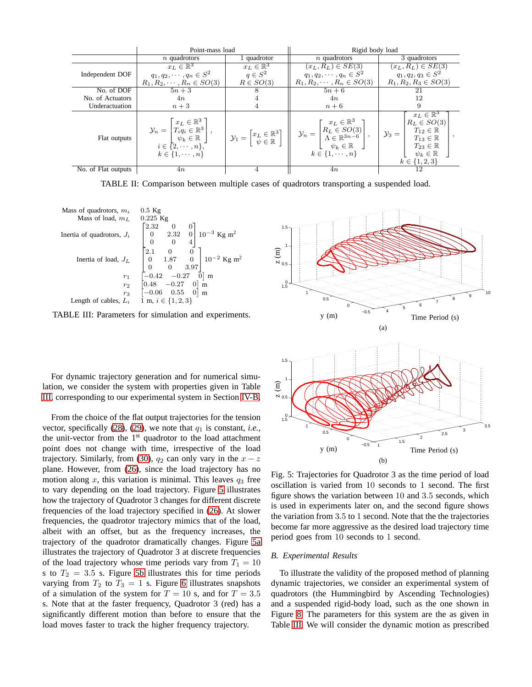<span id="page-5-0"></span>

|                     | Point-mass load                                                                                                                                                                  |                        | Rigid body load                                                                                                                                                                                                                                                                                                                    |                                                                                                                                                                                                                                                     |
|---------------------|----------------------------------------------------------------------------------------------------------------------------------------------------------------------------------|------------------------|------------------------------------------------------------------------------------------------------------------------------------------------------------------------------------------------------------------------------------------------------------------------------------------------------------------------------------|-----------------------------------------------------------------------------------------------------------------------------------------------------------------------------------------------------------------------------------------------------|
|                     | $n$ quadrotors                                                                                                                                                                   | 1 quadrotor            | $n$ quadrotors                                                                                                                                                                                                                                                                                                                     | 3 quadrotors                                                                                                                                                                                                                                        |
|                     | $x_L \in \mathbb{R}^3$                                                                                                                                                           | $x_L \in \mathbb{R}^3$ | $(x_L, R_L) \in SE(3)$                                                                                                                                                                                                                                                                                                             | $(x_L, R_L) \in SE(3)$                                                                                                                                                                                                                              |
| Independent DOF     | $q_1, q_2, \cdots, q_n \in S^2$                                                                                                                                                  | $q \in S^2$            | $q_1, q_2, \cdots, q_n \in S^2$                                                                                                                                                                                                                                                                                                    | $q_1, q_2, q_3 \in S^2$                                                                                                                                                                                                                             |
|                     | $R_1, R_2, \cdots, R_n \in SO(3)$                                                                                                                                                | $R \in SO(3)$          | $R_1, R_2, \cdots, R_n \in SO(3)$                                                                                                                                                                                                                                                                                                  | $R_1, R_2, R_3 \in SO(3)$                                                                                                                                                                                                                           |
| No. of DOF          | $5n+3$                                                                                                                                                                           |                        | $5n+6$                                                                                                                                                                                                                                                                                                                             | 21                                                                                                                                                                                                                                                  |
| No. of Actuators    | 4n                                                                                                                                                                               |                        | 4n                                                                                                                                                                                                                                                                                                                                 | 12                                                                                                                                                                                                                                                  |
| Underactuation      | $n+3$                                                                                                                                                                            |                        | $n+6$                                                                                                                                                                                                                                                                                                                              | 9                                                                                                                                                                                                                                                   |
| Flat outputs        | $\mathcal{Y}_n = \begin{bmatrix} x_L \in \mathbb{R}^3 \\ T_i q_i \in \mathbb{R}^3 \\ \psi_k \in \mathbb{R} \\ i \in \{2, \cdots, n\}, \end{bmatrix}$<br>$k \in \{1, \cdots, n\}$ |                        | $\left  \begin{array}{c} \mathbf{y}_1 = \begin{bmatrix} x_L \in \mathbb{R}^3 \\ \psi \in \mathbb{R} \end{bmatrix} \end{array} \right  \left  \begin{array}{c} x_L \in \mathbb{R}^3 \\ \mathcal{N}_n = \begin{bmatrix} R_L \in SO(3) \\ \Lambda \in \mathbb{R}^{3n-6} \\ \psi_k \in \mathbb{R} \end{bmatrix}, \end{array} \right ,$ | $x_L \in \mathbb{R}^3$<br>$R_L \in SO(3)$<br>$\mathcal{Y}_3 = \begin{bmatrix} T_{12} \in \mathbb{R} \\ T_{13} \in \mathbb{R} \end{bmatrix}$<br>$T_{13} \in \mathbb{R}$<br>$T_{23} \in \mathbb{R}$<br>$\psi_k \in \mathbb{R}$<br>$k \in \{1, 2, 3\}$ |
| No. of Flat outputs | 4n                                                                                                                                                                               |                        | 4n                                                                                                                                                                                                                                                                                                                                 | 12                                                                                                                                                                                                                                                  |

TABLE II: Comparison between multiple cases of quadrotors transporting a suspended load.

<span id="page-5-1"></span>

TABLE III: Parameters for simulation and experiments.

For dynamic trajectory generation and for numerical simulation, we consider the system with properties given in Table [III,](#page-5-1) corresponding to our experimental system in Section [IV-B.](#page-5-2)

From the choice of the flat output trajectories for the tension vector, specifically  $(28)$ ,  $(29)$ , we note that  $q_1$  is constant, *i.e.*, the unit-vector from the 1<sup>st</sup> quadrotor to the load attachment point does not change with time, irrespective of the load trajectory. Similarly, from [\(30\)](#page-4-3),  $q_2$  can only vary in the  $x - z$ plane. However, from [\(26\)](#page-4-4), since the load trajectory has no motion along x, this variation is minimal. This leaves  $q_3$  free to vary depending on the load trajectory. Figure [5](#page-5-3) illustrates how the trajectory of Quadrotor 3 changes for different discrete frequencies of the load trajectory specified in [\(26\)](#page-4-4). At slower frequencies, the quadrotor trajectory mimics that of the load, albeit with an offset, but as the frequency increases, the trajectory of the quadrotor dramatically changes. Figure [5a](#page-5-4) illustrates the trajectory of Quadrotor 3 at discrete frequencies of the load trajectory whose time periods vary from  $T_1 = 10$ s to  $T_2 = 3.5$  s. Figure [5b](#page-5-5) illustrates this for time periods varying from  $T_2$  to  $T_3 = 1$  s. Figure [6](#page-6-0) illustrates snapshots of a simulation of the system for  $T = 10$  s, and for  $T = 3.5$ s. Note that at the faster frequency, Quadrotor 3 (red) has a significantly different motion than before to ensure that the load moves faster to track the higher frequency trajectory.

<span id="page-5-5"></span><span id="page-5-4"></span><span id="page-5-3"></span>

Fig. 5: Trajectories for Quadrotor 3 as the time period of load oscillation is varied from 10 seconds to 1 second. The first figure shows the variation between 10 and 3.5 seconds, which is used in experiments later on, and the second figure shows the variation from 3.5 to 1 second. Note that the the trajectories become far more aggressive as the desired load trajectory time period goes from 10 seconds to 1 second.

## <span id="page-5-2"></span>*B. Experimental Results*

To illustrate the validity of the proposed method of planning dynamic trajectories, we consider an experimental system of quadrotors (the Hummingbird by Ascending Technologies) and a suspended rigid-body load, such as the one shown in Figure [8.](#page-6-1) The parameters for this system are the as given in Table [III.](#page-5-1) We will consider the dynamic motion as prescribed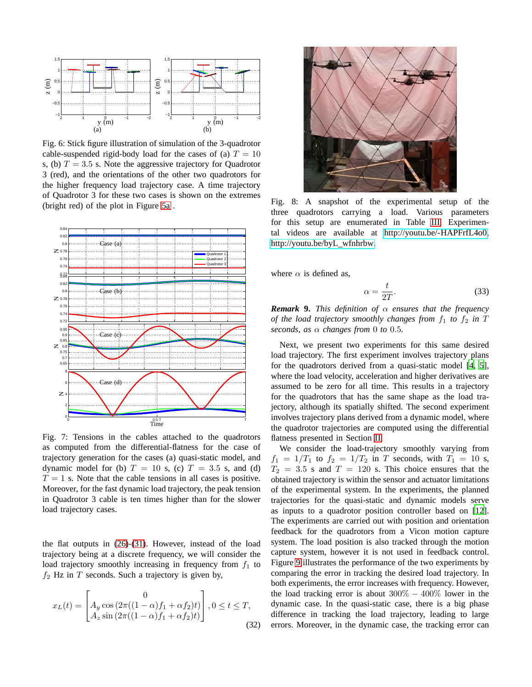<span id="page-6-0"></span>

Fig. 6: Stick figure illustration of simulation of the 3-quadrotor cable-suspended rigid-body load for the cases of (a)  $T = 10$ s, (b)  $T = 3.5$  s. Note the aggressive trajectory for Quadrotor 3 (red), and the orientations of the other two quadrotors for the higher frequency load trajectory case. A time trajectory of Quadrotor 3 for these two cases is shown on the extremes (bright red) of the plot in Figure [5a](#page-5-4) .



Fig. 7: Tensions in the cables attached to the quadrotors as computed from the differential-flatness for the case of trajectory generation for the cases (a) quasi-static model, and dynamic model for (b)  $T = 10$  s, (c)  $T = 3.5$  s, and (d)  $T = 1$  s. Note that the cable tensions in all cases is positive. Moreover, for the fast dynamic load trajectory, the peak tension in Quadrotor 3 cable is ten times higher than for the slower load trajectory cases.

the flat outputs in [\(26\)](#page-4-4)-[\(31\)](#page-4-3). However, instead of the load trajectory being at a discrete frequency, we will consider the load trajectory smoothly increasing in frequency from  $f_1$  to  $f_2$  Hz in T seconds. Such a trajectory is given by,

$$
x_L(t) = \begin{bmatrix} 0 \\ A_y \cos(2\pi((1-\alpha)f_1 + \alpha f_2)t) \\ A_z \sin(2\pi((1-\alpha)f_1 + \alpha f_2)t) \end{bmatrix}, 0 \le t \le T,
$$
\n(32)

<span id="page-6-1"></span>

Fig. 8: A snapshot of the experimental setup of the three quadrotors carrying a load. Various parameters for this setup are enumerated in Table [III.](#page-5-1) Experimental videos are available at [http://youtu.be/-HAPFrfL4o0,](http://youtu.be/-HAPFrfL4o0) [http://youtu.be/byL](http://youtu.be/byL_wfnhrbw) wfnhrbw.

where  $\alpha$  is defined as,

$$
\alpha = \frac{t}{2T}.\tag{33}
$$

*Remark* **9.** *This definition of* α *ensures that the frequency of the load trajectory smoothly changes from*  $f_1$  *to*  $f_2$  *in*  $T$ *seconds, as*  $\alpha$  *changes from* 0 *to* 0.5*.* 

Next, we present two experiments for this same desired load trajectory. The first experiment involves trajectory plans for the quadrotors derived from a quasi-static model [\[4](#page-7-3), [5](#page-7-4)], where the load velocity, acceleration and higher derivatives are assumed to be zero for all time. This results in a trajectory for the quadrotors that has the same shape as the load trajectory, although its spatially shifted. The second experiment involves trajectory plans derived from a dynamic model, where the quadrotor trajectories are computed using the differential flatness presented in Section [II.](#page-1-0)

We consider the load-trajectory smoothly varying from  $f_1 = 1/T_1$  to  $f_2 = 1/T_2$  in T seconds, with  $T_1 = 10$  s,  $T_2 = 3.5$  s and  $T = 120$  s. This choice ensures that the obtained trajectory is within the sensor and actuator limitations of the experimental system. In the experiments, the planned trajectories for the quasi-static and dynamic models serve as inputs to a quadrotor position controller based on [\[12](#page-7-12)]. The experiments are carried out with position and orientation feedback for the quadrotors from a Vicon motion capture system. The load position is also tracked through the motion capture system, however it is not used in feedback control. Figure [9](#page-7-13) illustrates the performance of the two experiments by comparing the error in tracking the desired load trajectory. In both experiments, the error increases with frequency. However, the load tracking error is about  $300\% - 400\%$  lower in the dynamic case. In the quasi-static case, there is a big phase difference in tracking the load trajectory, leading to large errors. Moreover, in the dynamic case, the tracking error can